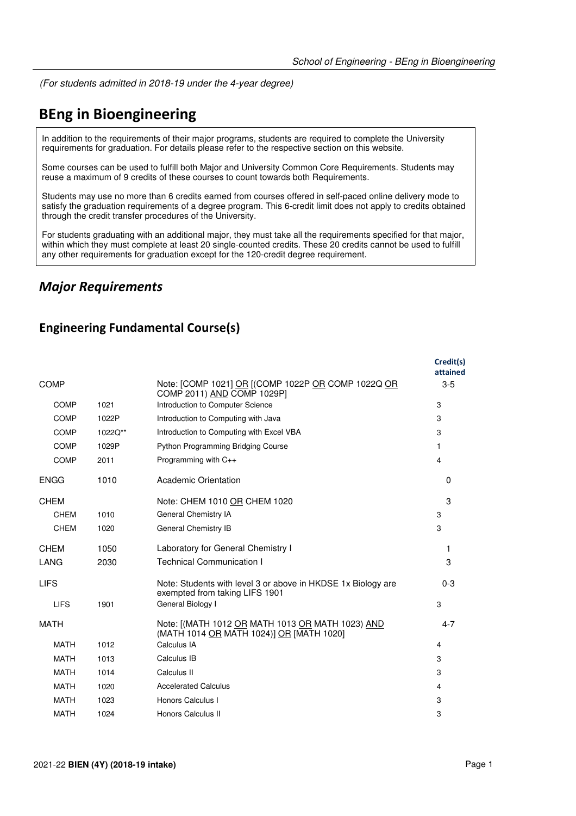(For students admitted in 2018-19 under the 4-year degree)

# **BEng in Bioengineering**

In addition to the requirements of their major programs, students are required to complete the University requirements for graduation. For details please refer to the respective section on this website.

Some courses can be used to fulfill both Major and University Common Core Requirements. Students may reuse a maximum of 9 credits of these courses to count towards both Requirements.

Students may use no more than 6 credits earned from courses offered in self-paced online delivery mode to satisfy the graduation requirements of a degree program. This 6-credit limit does not apply to credits obtained through the credit transfer procedures of the University.

For students graduating with an additional major, they must take all the requirements specified for that major, within which they must complete at least 20 single-counted credits. These 20 credits cannot be used to fulfill any other requirements for graduation except for the 120-credit degree requirement.

### *Major Requirements*

#### **Engineering Fundamental Course(s)**

|             |         |                                                                                                | Credit(s)<br>attained |
|-------------|---------|------------------------------------------------------------------------------------------------|-----------------------|
| <b>COMP</b> |         | Note: [COMP 1021] OR [(COMP 1022P OR COMP 1022Q OR<br>COMP 2011) AND COMP 1029P1               | $3-5$                 |
| <b>COMP</b> | 1021    | Introduction to Computer Science                                                               | 3                     |
| <b>COMP</b> | 1022P   | Introduction to Computing with Java                                                            | 3                     |
| COMP        | 1022Q** | Introduction to Computing with Excel VBA                                                       | 3                     |
| <b>COMP</b> | 1029P   | Python Programming Bridging Course                                                             | 1                     |
| <b>COMP</b> | 2011    | Programming with C++                                                                           | 4                     |
| <b>ENGG</b> | 1010    | Academic Orientation                                                                           | $\Omega$              |
| <b>CHEM</b> |         | Note: CHEM 1010 OR CHEM 1020                                                                   | 3                     |
| <b>CHEM</b> | 1010    | General Chemistry IA                                                                           | 3                     |
| <b>CHEM</b> | 1020    | General Chemistry IB                                                                           | 3                     |
| <b>CHEM</b> | 1050    | Laboratory for General Chemistry I                                                             | 1                     |
| LANG        | 2030    | <b>Technical Communication I</b>                                                               | 3                     |
| <b>LIFS</b> |         | Note: Students with level 3 or above in HKDSE 1x Biology are<br>exempted from taking LIFS 1901 | $0 - 3$               |
| <b>LIFS</b> | 1901    | General Biology I                                                                              | 3                     |
| <b>MATH</b> |         | Note: [(MATH 1012 OR MATH 1013 OR MATH 1023) AND<br>(MATH 1014 OR MATH 1024)] OR [MATH 1020]   | $4 - 7$               |
| <b>MATH</b> | 1012    | Calculus IA                                                                                    | 4                     |
| <b>MATH</b> | 1013    | Calculus IB                                                                                    | 3                     |
| <b>MATH</b> | 1014    | Calculus II                                                                                    | 3                     |
| <b>MATH</b> | 1020    | <b>Accelerated Calculus</b>                                                                    | 4                     |
| <b>MATH</b> | 1023    | Honors Calculus I                                                                              | 3                     |
| <b>MATH</b> | 1024    | Honors Calculus II                                                                             | 3                     |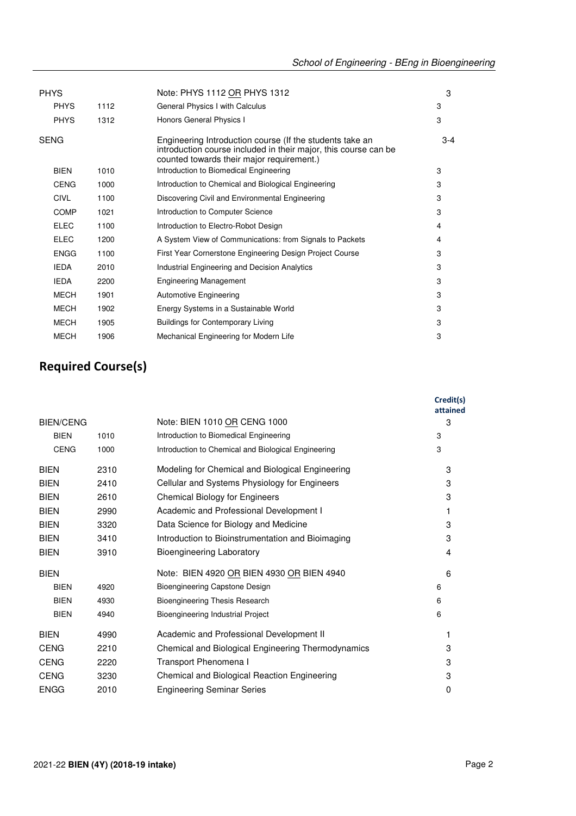|                     | Note: PHYS 1112 OR PHYS 1312                                                                                                                                             | 3     |
|---------------------|--------------------------------------------------------------------------------------------------------------------------------------------------------------------------|-------|
| <b>PHYS</b><br>1112 | General Physics I with Calculus                                                                                                                                          | 3     |
| <b>PHYS</b><br>1312 | Honors General Physics I                                                                                                                                                 | 3     |
|                     | Engineering Introduction course (If the students take an<br>introduction course included in their major, this course can be<br>counted towards their major requirement.) | $3-4$ |
| <b>BIEN</b><br>1010 | Introduction to Biomedical Engineering                                                                                                                                   | 3     |
| <b>CENG</b><br>1000 | Introduction to Chemical and Biological Engineering                                                                                                                      | 3     |
| <b>CIVL</b><br>1100 | Discovering Civil and Environmental Engineering                                                                                                                          | 3     |
| <b>COMP</b><br>1021 | Introduction to Computer Science                                                                                                                                         | 3     |
| <b>ELEC</b><br>1100 | Introduction to Electro-Robot Design                                                                                                                                     | 4     |
| <b>ELEC</b><br>1200 | A System View of Communications: from Signals to Packets                                                                                                                 | 4     |
| <b>ENGG</b><br>1100 | First Year Cornerstone Engineering Design Project Course                                                                                                                 | 3     |
| <b>IEDA</b><br>2010 | Industrial Engineering and Decision Analytics                                                                                                                            | 3     |
| <b>IEDA</b><br>2200 | <b>Engineering Management</b>                                                                                                                                            | 3     |
| <b>MECH</b><br>1901 | <b>Automotive Engineering</b>                                                                                                                                            | 3     |
| <b>MECH</b><br>1902 | Energy Systems in a Sustainable World                                                                                                                                    | 3     |
| <b>MECH</b><br>1905 | <b>Buildings for Contemporary Living</b>                                                                                                                                 | 3     |
| <b>MECH</b><br>1906 | Mechanical Engineering for Modern Life                                                                                                                                   | 3     |
|                     |                                                                                                                                                                          |       |

## **Required Course(s)**

|                  |      |                                                     | Credit(s)<br>attained |
|------------------|------|-----------------------------------------------------|-----------------------|
| <b>BIEN/CENG</b> |      | Note: BIEN 1010 OR CENG 1000                        | 3                     |
| <b>BIEN</b>      | 1010 | Introduction to Biomedical Engineering              | 3                     |
| <b>CENG</b>      | 1000 | Introduction to Chemical and Biological Engineering | 3                     |
| <b>BIEN</b>      | 2310 | Modeling for Chemical and Biological Engineering    | 3                     |
| <b>BIEN</b>      | 2410 | Cellular and Systems Physiology for Engineers       | 3                     |
| <b>BIEN</b>      | 2610 | <b>Chemical Biology for Engineers</b>               | 3                     |
| <b>BIEN</b>      | 2990 | Academic and Professional Development I             | 1                     |
| <b>BIEN</b>      | 3320 | Data Science for Biology and Medicine               | 3                     |
| <b>BIEN</b>      | 3410 | Introduction to Bioinstrumentation and Bioimaging   | 3                     |
| <b>BIEN</b>      | 3910 | <b>Bioengineering Laboratory</b>                    | 4                     |
| <b>BIEN</b>      |      | Note: BIEN 4920 OR BIEN 4930 OR BIEN 4940           | 6                     |
| <b>BIEN</b>      | 4920 | Bioengineering Capstone Design                      | 6                     |
| <b>BIEN</b>      | 4930 | <b>Bioengineering Thesis Research</b>               | 6                     |
| <b>BIEN</b>      | 4940 | Bioengineering Industrial Project                   | 6                     |
| <b>BIEN</b>      | 4990 | Academic and Professional Development II            | 1                     |
| <b>CENG</b>      | 2210 | Chemical and Biological Engineering Thermodynamics  | 3                     |
| <b>CENG</b>      | 2220 | Transport Phenomena I                               | 3                     |
| <b>CENG</b>      | 3230 | Chemical and Biological Reaction Engineering        | 3                     |
| <b>ENGG</b>      | 2010 | <b>Engineering Seminar Series</b>                   | 0                     |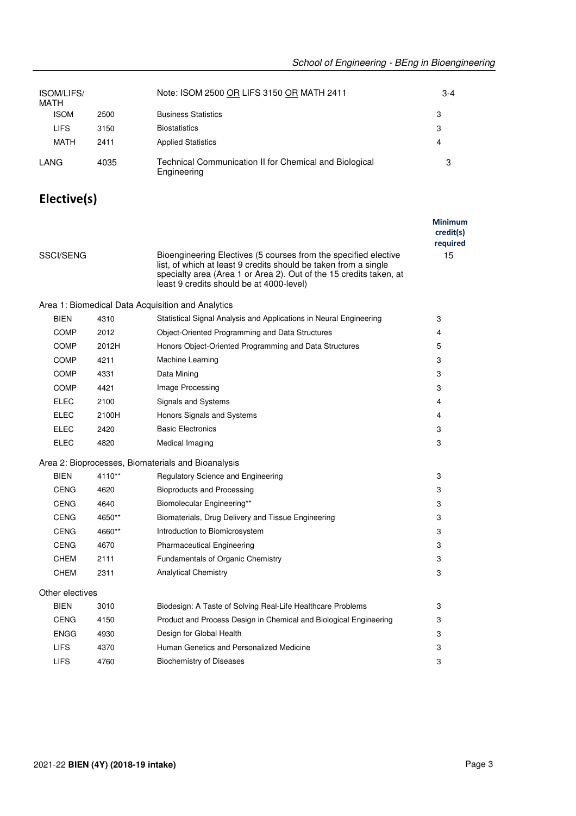| <b>ISOM/LIFS/</b><br>MATH |      | Note: ISOM 2500 OR LIFS 3150 OR MATH 2411                             | $3-4$ |
|---------------------------|------|-----------------------------------------------------------------------|-------|
| <b>ISOM</b>               | 2500 | <b>Business Statistics</b>                                            | 3     |
| <b>LIFS</b>               | 3150 | <b>Biostatistics</b>                                                  | 3     |
| MATH                      | 2411 | <b>Applied Statistics</b>                                             | 4     |
| LANG                      | 4035 | Technical Communication II for Chemical and Biological<br>Engineering | 3     |

## **Elective(s)**

|                  |        |                                                                                                                                                                                                                                                      | <b>Minimum</b><br>credit(s)<br>required |
|------------------|--------|------------------------------------------------------------------------------------------------------------------------------------------------------------------------------------------------------------------------------------------------------|-----------------------------------------|
| <b>SSCI/SENG</b> |        | Bioengineering Electives (5 courses from the specified elective<br>list, of which at least 9 credits should be taken from a single<br>specialty area (Area 1 or Area 2). Out of the 15 credits taken, at<br>least 9 credits should be at 4000-level) | 15                                      |
|                  |        | Area 1: Biomedical Data Acquisition and Analytics                                                                                                                                                                                                    |                                         |
| BIEN             | 4310   | Statistical Signal Analysis and Applications in Neural Engineering                                                                                                                                                                                   | 3                                       |
| COMP             | 2012   | Object-Oriented Programming and Data Structures                                                                                                                                                                                                      | 4                                       |
| <b>COMP</b>      | 2012H  | Honors Object-Oriented Programming and Data Structures                                                                                                                                                                                               | 5                                       |
| <b>COMP</b>      | 4211   | Machine Learning                                                                                                                                                                                                                                     | 3                                       |
| <b>COMP</b>      | 4331   | Data Mining                                                                                                                                                                                                                                          | 3                                       |
| <b>COMP</b>      | 4421   | Image Processing                                                                                                                                                                                                                                     | 3                                       |
| <b>ELEC</b>      | 2100   | Signals and Systems                                                                                                                                                                                                                                  | 4                                       |
| ELEC             | 2100H  | Honors Signals and Systems                                                                                                                                                                                                                           | 4                                       |
| <b>ELEC</b>      | 2420   | <b>Basic Electronics</b>                                                                                                                                                                                                                             | 3                                       |
| <b>ELEC</b>      | 4820   | Medical Imaging                                                                                                                                                                                                                                      | 3                                       |
|                  |        | Area 2: Bioprocesses, Biomaterials and Bioanalysis                                                                                                                                                                                                   |                                         |
| <b>BIEN</b>      | 4110** | Regulatory Science and Engineering                                                                                                                                                                                                                   | 3                                       |
| <b>CENG</b>      | 4620   | <b>Bioproducts and Processing</b>                                                                                                                                                                                                                    | 3                                       |
| <b>CENG</b>      | 4640   | Biomolecular Engineering**                                                                                                                                                                                                                           | 3                                       |
| <b>CENG</b>      | 4650** | Biomaterials, Drug Delivery and Tissue Engineering                                                                                                                                                                                                   | 3                                       |
| <b>CENG</b>      | 4660** | Introduction to Biomicrosystem                                                                                                                                                                                                                       | 3                                       |
| <b>CENG</b>      | 4670   | <b>Pharmaceutical Engineering</b>                                                                                                                                                                                                                    | 3                                       |
| <b>CHEM</b>      | 2111   | Fundamentals of Organic Chemistry                                                                                                                                                                                                                    | 3                                       |
| <b>CHEM</b>      | 2311   | <b>Analytical Chemistry</b>                                                                                                                                                                                                                          | 3                                       |
| Other electives  |        |                                                                                                                                                                                                                                                      |                                         |
| <b>BIEN</b>      | 3010   | Biodesign: A Taste of Solving Real-Life Healthcare Problems                                                                                                                                                                                          | 3                                       |
| CENG             | 4150   | Product and Process Design in Chemical and Biological Engineering                                                                                                                                                                                    | 3                                       |
| <b>ENGG</b>      | 4930   | Design for Global Health                                                                                                                                                                                                                             | 3                                       |
| <b>LIFS</b>      | 4370   | Human Genetics and Personalized Medicine                                                                                                                                                                                                             | 3                                       |
| <b>LIFS</b>      | 4760   | <b>Biochemistry of Diseases</b>                                                                                                                                                                                                                      | 3                                       |